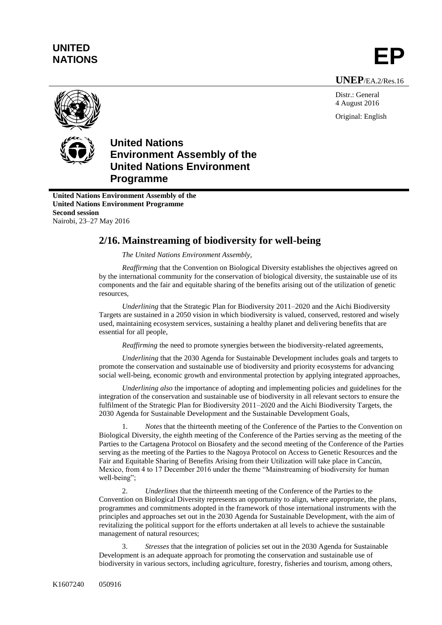## **UNITED** UNITED<br>NATIONS **EP**

**UNEP**/EA.2/Res.16

Distr.: General 4 August 2016 Original: English



## **United Nations Environment Assembly of the United Nations Environment Programme**

**United Nations Environment Assembly of the United Nations Environment Programme Second session** Nairobi, 23–27 May 2016

## **2/16. Mainstreaming of biodiversity for well-being**

*The United Nations Environment Assembly,*

*Reaffirming* that the Convention on Biological Diversity establishes the objectives agreed on by the international community for the conservation of biological diversity, the sustainable use of its components and the fair and equitable sharing of the benefits arising out of the utilization of genetic resources,

*Underlining* that the Strategic Plan for Biodiversity 2011–2020 and the Aichi Biodiversity Targets are sustained in a 2050 vision in which biodiversity is valued, conserved, restored and wisely used, maintaining ecosystem services, sustaining a healthy planet and delivering benefits that are essential for all people,

*Reaffirming* the need to promote synergies between the biodiversity-related agreements,

*Underlining* that the 2030 Agenda for Sustainable Development includes goals and targets to promote the conservation and sustainable use of biodiversity and priority ecosystems for advancing social well-being, economic growth and environmental protection by applying integrated approaches,

*Underlining also* the importance of adopting and implementing policies and guidelines for the integration of the conservation and sustainable use of biodiversity in all relevant sectors to ensure the fulfilment of the Strategic Plan for Biodiversity 2011–2020 and the Aichi Biodiversity Targets, the 2030 Agenda for Sustainable Development and the Sustainable Development Goals,

1. *Notes* that the thirteenth meeting of the Conference of the Parties to the Convention on Biological Diversity, the eighth meeting of the Conference of the Parties serving as the meeting of the Parties to the Cartagena Protocol on Biosafety and the second meeting of the Conference of the Parties serving as the meeting of the Parties to the Nagoya Protocol on Access to Genetic Resources and the Fair and Equitable Sharing of Benefits Arising from their Utilization will take place in Cancún, Mexico, from 4 to 17 December 2016 under the theme "Mainstreaming of biodiversity for human well-being";

2. *Underlines* that the thirteenth meeting of the Conference of the Parties to the Convention on Biological Diversity represents an opportunity to align, where appropriate, the plans, programmes and commitments adopted in the framework of those international instruments with the principles and approaches set out in the 2030 Agenda for Sustainable Development, with the aim of revitalizing the political support for the efforts undertaken at all levels to achieve the sustainable management of natural resources;

3. *Stresses* that the integration of policies set out in the 2030 Agenda for Sustainable Development is an adequate approach for promoting the conservation and sustainable use of biodiversity in various sectors, including agriculture, forestry, fisheries and tourism, among others,